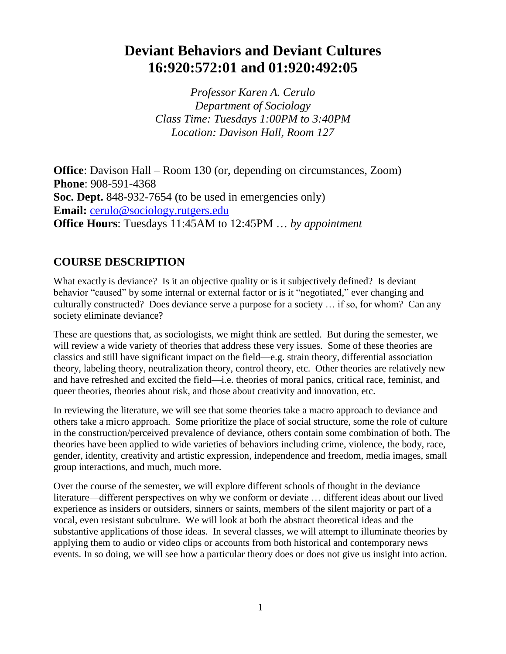## **Deviant Behaviors and Deviant Cultures 16:920:572:01 and 01:920:492:05**

*Professor Karen A. Cerulo Department of Sociology Class Time: Tuesdays 1:00PM to 3:40PM Location: Davison Hall, Room 127*

**Office**: Davison Hall – Room 130 (or, depending on circumstances, Zoom) **Phone**: 908-591-4368 **Soc. Dept.** 848**-**932-7654 (to be used in emergencies only) **Email:** [cerulo@sociology.rutgers.edu](mailto:cerulo@sociology.rutgers.edu) **Office Hours**: Tuesdays 11:45AM to 12:45PM … *by appointment*

## **COURSE DESCRIPTION**

What exactly is deviance? Is it an objective quality or is it subjectively defined? Is deviant behavior "caused" by some internal or external factor or is it "negotiated," ever changing and culturally constructed? Does deviance serve a purpose for a society … if so, for whom? Can any society eliminate deviance?

These are questions that, as sociologists, we might think are settled. But during the semester, we will review a wide variety of theories that address these very issues. Some of these theories are classics and still have significant impact on the field—e.g. strain theory, differential association theory, labeling theory, neutralization theory, control theory, etc. Other theories are relatively new and have refreshed and excited the field—i.e. theories of moral panics, critical race, feminist, and queer theories, theories about risk, and those about creativity and innovation, etc.

In reviewing the literature, we will see that some theories take a macro approach to deviance and others take a micro approach. Some prioritize the place of social structure, some the role of culture in the construction/perceived prevalence of deviance, others contain some combination of both. The theories have been applied to wide varieties of behaviors including crime, violence, the body, race, gender, identity, creativity and artistic expression, independence and freedom, media images, small group interactions, and much, much more.

Over the course of the semester, we will explore different schools of thought in the deviance literature—different perspectives on why we conform or deviate … different ideas about our lived experience as insiders or outsiders, sinners or saints, members of the silent majority or part of a vocal, even resistant subculture. We will look at both the abstract theoretical ideas and the substantive applications of those ideas. In several classes, we will attempt to illuminate theories by applying them to audio or video clips or accounts from both historical and contemporary news events. In so doing, we will see how a particular theory does or does not give us insight into action.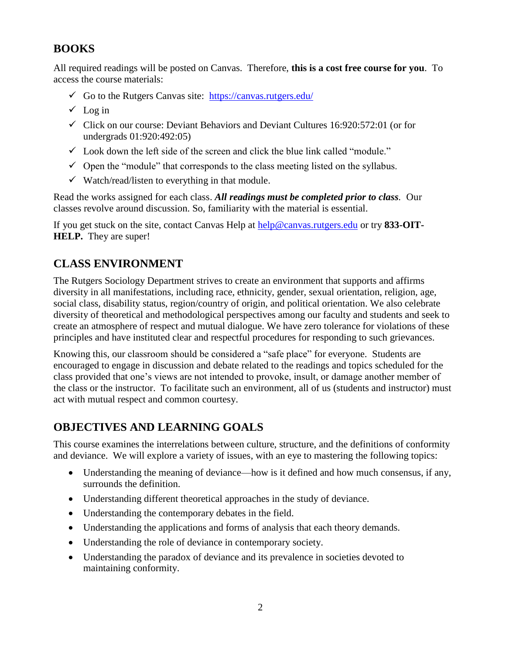## **BOOKS**

All required readings will be posted on Canvas. Therefore, **this is a cost free course for you**. To access the course materials:

- Go to the Rutgers Canvas site:  $\frac{https://canvas.rutgers.edu/}{https://canvas.rutgers.edu/}$  $\frac{https://canvas.rutgers.edu/}{https://canvas.rutgers.edu/}$  $\frac{https://canvas.rutgers.edu/}{https://canvas.rutgers.edu/}$
- $\checkmark$  Log in
- $\checkmark$  Click on our course: Deviant Behaviors and Deviant Cultures 16:920:572:01 (or for undergrads 01:920:492:05)
- $\checkmark$  Look down the left side of the screen and click the blue link called "module."
- $\checkmark$  Open the "module" that corresponds to the class meeting listed on the syllabus.
- $\checkmark$  Watch/read/listen to everything in that module.

Read the works assigned for each class. *All readings must be completed prior to class.* Our classes revolve around discussion. So, familiarity with the material is essential.

If you get stuck on the site, contact Canvas Help at [help@canvas.rutgers.edu](mailto:help@canvas.rutgers.edu) or try **833-OIT-HELP.** They are super!

## **CLASS ENVIRONMENT**

The Rutgers Sociology Department strives to create an environment that supports and affirms diversity in all manifestations, including race, ethnicity, gender, sexual orientation, religion, age, social class, disability status, region/country of origin, and political orientation. We also celebrate diversity of theoretical and methodological perspectives among our faculty and students and seek to create an atmosphere of respect and mutual dialogue. We have zero tolerance for violations of these principles and have instituted clear and respectful procedures for responding to such grievances.

Knowing this, our classroom should be considered a "safe place" for everyone. Students are encouraged to engage in discussion and debate related to the readings and topics scheduled for the class provided that one's views are not intended to provoke, insult, or damage another member of the class or the instructor. To facilitate such an environment, all of us (students and instructor) must act with mutual respect and common courtesy.

## **OBJECTIVES AND LEARNING GOALS**

This course examines the interrelations between culture, structure, and the definitions of conformity and deviance. We will explore a variety of issues, with an eye to mastering the following topics:

- Understanding the meaning of deviance—how is it defined and how much consensus, if any, surrounds the definition.
- Understanding different theoretical approaches in the study of deviance.
- Understanding the contemporary debates in the field.
- Understanding the applications and forms of analysis that each theory demands.
- Understanding the role of deviance in contemporary society.
- Understanding the paradox of deviance and its prevalence in societies devoted to maintaining conformity.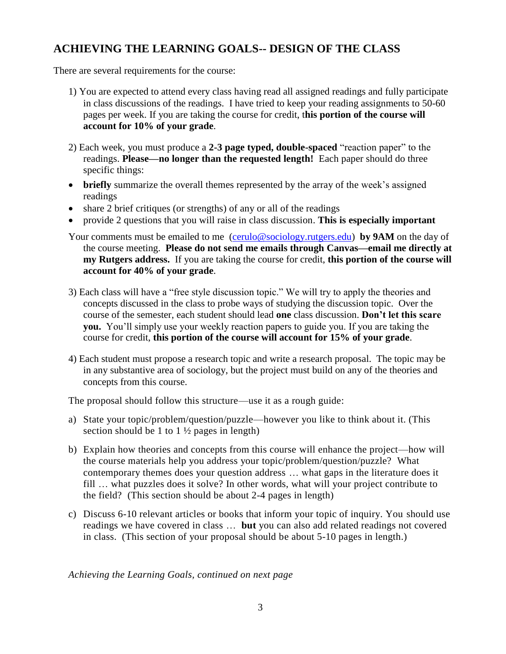## **ACHIEVING THE LEARNING GOALS-- DESIGN OF THE CLASS**

There are several requirements for the course:

- 1) You are expected to attend every class having read all assigned readings and fully participate in class discussions of the readings. I have tried to keep your reading assignments to 50-60 pages per week. If you are taking the course for credit, t**his portion of the course will account for 10% of your grade**.
- 2) Each week, you must produce a **2-3 page typed, double-spaced** "reaction paper" to the readings. **Please—no longer than the requested length!** Each paper should do three specific things:
- **briefly** summarize the overall themes represented by the array of the week's assigned readings
- share 2 brief critiques (or strengths) of any or all of the readings
- provide 2 questions that you will raise in class discussion. **This is especially important**
- Your comments must be emailed to me [\(cerulo@sociology.rutgers.edu\)](mailto:cerulo@sociology.rutgers.edu) **by 9AM** on the day of the course meeting. **Please do not send me emails through Canvas—email me directly at my Rutgers address.** If you are taking the course for credit, **this portion of the course will account for 40% of your grade**.
- 3) Each class will have a "free style discussion topic." We will try to apply the theories and concepts discussed in the class to probe ways of studying the discussion topic. Over the course of the semester, each student should lead **one** class discussion. **Don't let this scare you.** You'll simply use your weekly reaction papers to guide you. If you are taking the course for credit, **this portion of the course will account for 15% of your grade**.
- 4) Each student must propose a research topic and write a research proposal. The topic may be in any substantive area of sociology, but the project must build on any of the theories and concepts from this course.

The proposal should follow this structure—use it as a rough guide:

- a) State your topic/problem/question/puzzle—however you like to think about it. (This section should be 1 to  $1\frac{1}{2}$  pages in length)
- b) Explain how theories and concepts from this course will enhance the project—how will the course materials help you address your topic/problem/question/puzzle? What contemporary themes does your question address … what gaps in the literature does it fill … what puzzles does it solve? In other words, what will your project contribute to the field? (This section should be about 2-4 pages in length)
- c) Discuss 6-10 relevant articles or books that inform your topic of inquiry. You should use readings we have covered in class … **but** you can also add related readings not covered in class. (This section of your proposal should be about 5-10 pages in length.)

*Achieving the Learning Goals, continued on next page*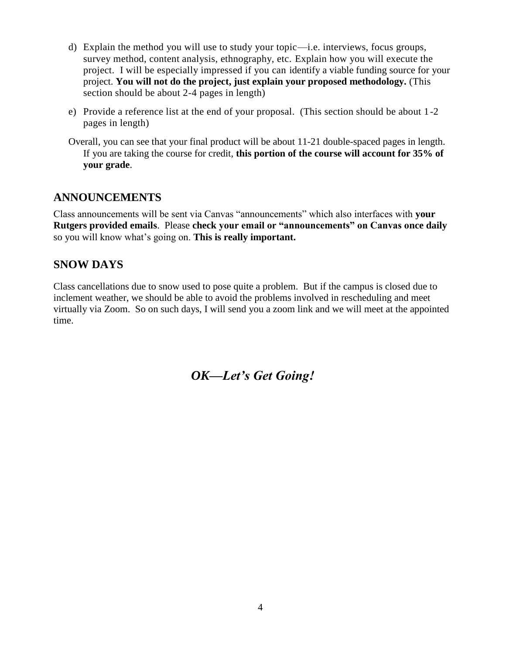- d) Explain the method you will use to study your topic—i.e. interviews, focus groups, survey method, content analysis, ethnography, etc. Explain how you will execute the project. I will be especially impressed if you can identify a viable funding source for your project. **You will not do the project, just explain your proposed methodology.** (This section should be about 2-4 pages in length)
- e) Provide a reference list at the end of your proposal. (This section should be about 1-2 pages in length)
- Overall, you can see that your final product will be about 11-21 double-spaced pages in length. If you are taking the course for credit, **this portion of the course will account for 35% of your grade**.

### **ANNOUNCEMENTS**

Class announcements will be sent via Canvas "announcements" which also interfaces with **your Rutgers provided emails**. Please **check your email or "announcements" on Canvas once daily** so you will know what's going on. **This is really important.**

## **SNOW DAYS**

Class cancellations due to snow used to pose quite a problem. But if the campus is closed due to inclement weather, we should be able to avoid the problems involved in rescheduling and meet virtually via Zoom. So on such days, I will send you a zoom link and we will meet at the appointed time.

*OK—Let's Get Going!*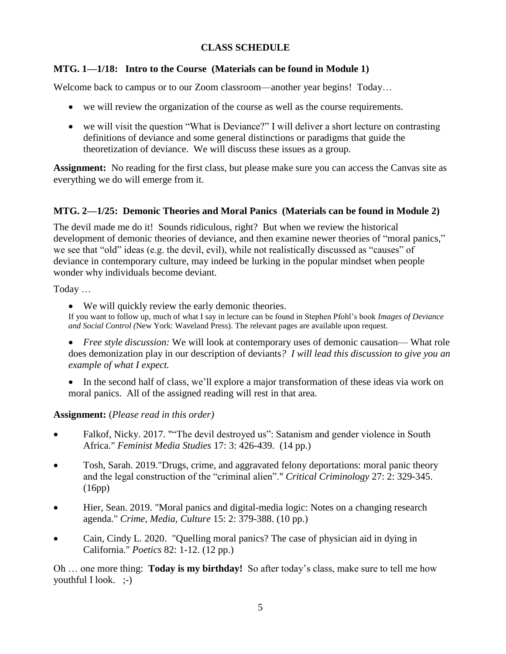#### **CLASS SCHEDULE**

#### **MTG. 1—1/18: Intro to the Course (Materials can be found in Module 1)**

Welcome back to campus or to our Zoom classroom—another year begins! Today...

- we will review the organization of the course as well as the course requirements.
- we will visit the question "What is Deviance?" I will deliver a short lecture on contrasting definitions of deviance and some general distinctions or paradigms that guide the theoretization of deviance. We will discuss these issues as a group.

**Assignment:** No reading for the first class, but please make sure you can access the Canvas site as everything we do will emerge from it.

#### **MTG. 2—1/25: Demonic Theories and Moral Panics (Materials can be found in Module 2)**

The devil made me do it! Sounds ridiculous, right? But when we review the historical development of demonic theories of deviance, and then examine newer theories of "moral panics," we see that "old" ideas (e.g. the devil, evil), while not realistically discussed as "causes" of deviance in contemporary culture, may indeed be lurking in the popular mindset when people wonder why individuals become deviant.

Today …

We will quickly review the early demonic theories.

If you want to follow up, much of what I say in lecture can be found in Stephen Pfohl's book *Images of Deviance and Social Control (*New York: Waveland Press). The relevant pages are available upon request.

 *Free style discussion:* We will look at contemporary uses of demonic causation— What role does demonization play in our description of deviants*? I will lead this discussion to give you an example of what I expect.*

• In the second half of class, we'll explore a major transformation of these ideas via work on moral panics. All of the assigned reading will rest in that area.

#### **Assignment:** (*Please read in this order)*

- Falkof, Nicky. 2017. ""The devil destroyed us": Satanism and gender violence in South Africa." *Feminist Media Studies* 17: 3: 426-439. (14 pp.)
- Tosh, Sarah. 2019."Drugs, crime, and aggravated felony deportations: moral panic theory and the legal construction of the "criminal alien"." *Critical Criminology* 27: 2: 329-345. (16pp)
- Hier, Sean. 2019. "Moral panics and digital-media logic: Notes on a changing research agenda." *Crime, Media, Culture* 15: 2: 379-388. (10 pp.)
- Cain, Cindy L. 2020. "Quelling moral panics? The case of physician aid in dying in California." *Poetics* 82: 1-12. (12 pp.)

Oh … one more thing: **Today is my birthday!** So after today's class, make sure to tell me how youthful I look. ;-)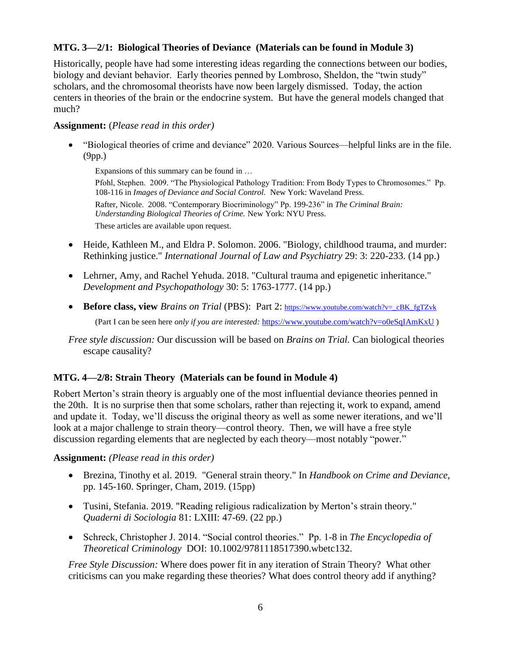#### **MTG. 3—2/1: Biological Theories of Deviance (Materials can be found in Module 3)**

Historically, people have had some interesting ideas regarding the connections between our bodies, biology and deviant behavior. Early theories penned by Lombroso, Sheldon, the "twin study" scholars, and the chromosomal theorists have now been largely dismissed. Today, the action centers in theories of the brain or the endocrine system. But have the general models changed that much?

#### **Assignment:** (*Please read in this order)*

 "Biological theories of crime and deviance" 2020. Various Sources—helpful links are in the file. (9pp.)

Expansions of this summary can be found in …

Pfohl, Stephen. 2009. "The Physiological Pathology Tradition: From Body Types to Chromosomes." Pp. 108-116 in *Images of Deviance and Social Control.* New York: Waveland Press. Rafter, Nicole. 2008. "Contemporary Biocriminology" Pp. 199-236" in *The Criminal Brain: Understanding Biological Theories of Crime.* New York: NYU Press. These articles are available upon request.

- Heide, Kathleen M., and Eldra P. Solomon. 2006. "Biology, childhood trauma, and murder: Rethinking justice." *International Journal of Law and Psychiatry* 29: 3: 220-233. (14 pp.)
- Lehrner, Amy, and Rachel Yehuda. 2018. "Cultural trauma and epigenetic inheritance." *Development and Psychopathology* 30: 5: 1763-1777. (14 pp.)
- **Before class, view** *Brains on Trial* (PBS): Part 2: [https://www.youtube.com/watch?v=\\_cBK\\_fgTZvk](https://www.youtube.com/watch?v=_cBK_fgTZvk) (Part I can be seen here *only if you are interested:* <https://www.youtube.com/watch?v=o0eSqIAmKxU> )
- *Free style discussion:* Our discussion will be based on *Brains on Trial.* Can biological theories escape causality?

#### **MTG. 4—2/8: Strain Theory (Materials can be found in Module 4)**

Robert Merton's strain theory is arguably one of the most influential deviance theories penned in the 20th. It is no surprise then that some scholars, rather than rejecting it, work to expand, amend and update it. Today, we'll discuss the original theory as well as some newer iterations, and we'll look at a major challenge to strain theory—control theory. Then, we will have a free style discussion regarding elements that are neglected by each theory—most notably "power."

#### **Assignment:** *(Please read in this order)*

- Brezina, Tinothy et al. 2019. "General strain theory." In *Handbook on Crime and Deviance*, pp. 145-160. Springer, Cham, 2019. (15pp)
- Tusini, Stefania. 2019. "Reading religious radicalization by Merton's strain theory." *Quaderni di Sociologia* 81: LXIII: 47-69. (22 pp.)
- Schreck, Christopher J. 2014. "Social control theories." Pp. 1-8 in *The Encyclopedia of Theoretical Criminology* DOI: 10.1002/9781118517390.wbetc132.

*Free Style Discussion:* Where does power fit in any iteration of Strain Theory? What other criticisms can you make regarding these theories? What does control theory add if anything?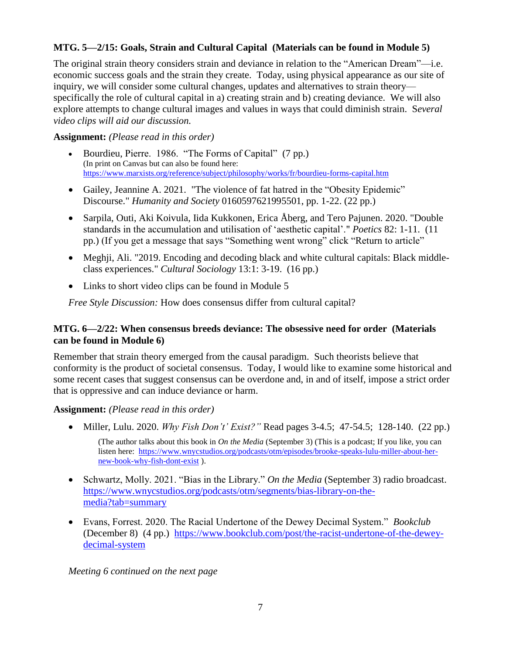#### **MTG. 5—2/15: Goals, Strain and Cultural Capital (Materials can be found in Module 5)**

The original strain theory considers strain and deviance in relation to the "American Dream"—i.e. economic success goals and the strain they create. Today, using physical appearance as our site of inquiry, we will consider some cultural changes, updates and alternatives to strain theory specifically the role of cultural capital in a) creating strain and b) creating deviance. We will also explore attempts to change cultural images and values in ways that could diminish strain. S*everal video clips will aid our discussion.*

#### **Assignment:** *(Please read in this order)*

- Bourdieu, Pierre. 1986. "The Forms of Capital" (7 pp.) (In print on Canvas but can also be found here: <https://www.marxists.org/reference/subject/philosophy/works/fr/bourdieu-forms-capital.htm>
- Gailey, Jeannine A. 2021. "The violence of fat hatred in the "Obesity Epidemic" Discourse." *Humanity and Society* 0160597621995501, pp. 1-22. (22 pp.)
- Sarpila, Outi, Aki Koivula, Iida Kukkonen, Erica Åberg, and Tero Pajunen. 2020. "Double standards in the accumulation and utilisation of 'aesthetic capital'." *Poetics* 82: 1-11. (11 pp.) (If you get a message that says "Something went wrong" click "Return to article"
- Meghji, Ali. "2019. Encoding and decoding black and white cultural capitals: Black middleclass experiences." *Cultural Sociology* 13:1: 3-19. (16 pp.)
- Links to short video clips can be found in Module 5

*Free Style Discussion:* How does consensus differ from cultural capital?

#### **MTG. 6—2/22: When consensus breeds deviance: The obsessive need for order (Materials can be found in Module 6)**

Remember that strain theory emerged from the causal paradigm. Such theorists believe that conformity is the product of societal consensus. Today, I would like to examine some historical and some recent cases that suggest consensus can be overdone and, in and of itself, impose a strict order that is oppressive and can induce deviance or harm.

#### **Assignment:** *(Please read in this order)*

Miller, Lulu. 2020. *Why Fish Don't' Exist?"* Read pages 3-4.5; 47-54.5; 128-140. (22 pp.)

(The author talks about this book in *On the Media* (September 3) (This is a podcast; If you like, you can listen here: [https://www.wnycstudios.org/podcasts/otm/episodes/brooke-speaks-lulu-miller-about-her](https://www.wnycstudios.org/podcasts/otm/episodes/brooke-speaks-lulu-miller-about-her-new-book-why-fish-dont-exist)[new-book-why-fish-dont-exist](https://www.wnycstudios.org/podcasts/otm/episodes/brooke-speaks-lulu-miller-about-her-new-book-why-fish-dont-exist) ).

- Schwartz, Molly. 2021. "Bias in the Library." *On the Media* (September 3) radio broadcast. [https://www.wnycstudios.org/podcasts/otm/segments/bias-library-on-the](https://www.wnycstudios.org/podcasts/otm/segments/bias-library-on-the-media?tab=summary)[media?tab=summary](https://www.wnycstudios.org/podcasts/otm/segments/bias-library-on-the-media?tab=summary)
- Evans, Forrest. 2020. The Racial Undertone of the Dewey Decimal System." *Bookclub*  (December 8) (4 pp.) [https://www.bookclub.com/post/the-racist-undertone-of-the-dewey](https://www.bookclub.com/post/the-racist-undertone-of-the-dewey-decimal-system)[decimal-system](https://www.bookclub.com/post/the-racist-undertone-of-the-dewey-decimal-system)

*Meeting 6 continued on the next page*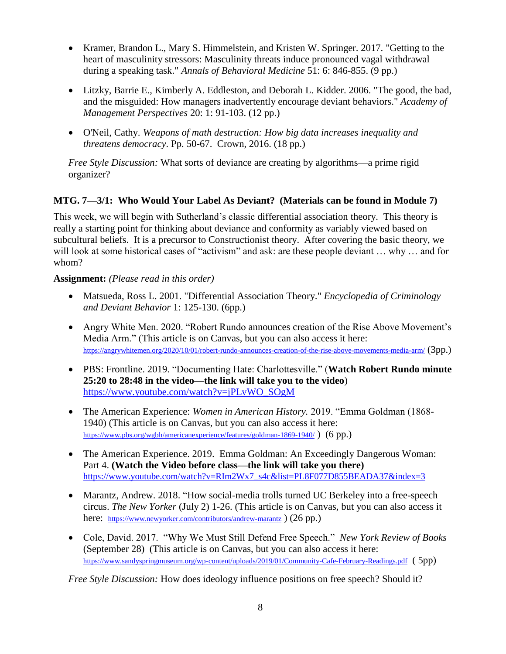- Kramer, Brandon L., Mary S. Himmelstein, and Kristen W. Springer. 2017. "Getting to the heart of masculinity stressors: Masculinity threats induce pronounced vagal withdrawal during a speaking task." *Annals of Behavioral Medicine* 51: 6: 846-855. (9 pp.)
- Litzky, Barrie E., Kimberly A. Eddleston, and Deborah L. Kidder. 2006. "The good, the bad, and the misguided: How managers inadvertently encourage deviant behaviors." *Academy of Management Perspectives* 20: 1: 91-103. (12 pp.)
- O'Neil, Cathy. *Weapons of math destruction: How big data increases inequality and threatens democracy*. Pp. 50-67. Crown, 2016. (18 pp.)

*Free Style Discussion:* What sorts of deviance are creating by algorithms—a prime rigid organizer?

#### **MTG. 7—3/1: Who Would Your Label As Deviant? (Materials can be found in Module 7)**

This week, we will begin with Sutherland's classic differential association theory. This theory is really a starting point for thinking about deviance and conformity as variably viewed based on subcultural beliefs. It is a precursor to Constructionist theory. After covering the basic theory, we will look at some historical cases of "activism" and ask: are these people deviant ... why ... and for whom?

#### **Assignment:** *(Please read in this order)*

- Matsueda, Ross L. 2001. "Differential Association Theory." *Encyclopedia of Criminology and Deviant Behavior* 1: 125-130. (6pp.)
- Angry White Men. 2020. "Robert Rundo announces creation of the Rise Above Movement's Media Arm." (This article is on Canvas, but you can also access it here: <https://angrywhitemen.org/2020/10/01/robert-rundo-announces-creation-of-the-rise-above-movements-media-arm/> (3pp.)
- PBS: Frontline. 2019. "Documenting Hate: Charlottesville." (**Watch Robert Rundo minute 25:20 to 28:48 in the video—the link will take you to the video**) [https://www.youtube.com/watch?v=jPLvWO\\_SOgM](https://www.youtube.com/watch?v=jPLvWO_SOgM)
- The American Experience: *Women in American History.* 2019. "Emma Goldman (1868- 1940) (This article is on Canvas, but you can also access it here: <https://www.pbs.org/wgbh/americanexperience/features/goldman-1869-1940/>) (6 pp.)
- The American Experience. 2019. Emma Goldman: An Exceedingly Dangerous Woman: Part 4. **(Watch the Video before class—the link will take you there)** [https://www.youtube.com/watch?v=RIm2Wx7\\_s4c&list=PL8F077D855BEADA37&index=3](https://www.youtube.com/watch?v=RIm2Wx7_s4c&list=PL8F077D855BEADA37&index=3)
- Marantz, Andrew. 2018. "How social-media trolls turned UC Berkeley into a free-speech circus. *The New Yorker* (July 2) 1-26. (This article is on Canvas, but you can also access it here: <https://www.newyorker.com/contributors/andrew-marantz> ) (26 pp.)
- Cole, David. 2017. "Why We Must Still Defend Free Speech." *New York Review of Books*  (September 28) (This article is on Canvas, but you can also access it here: <https://www.sandyspringmuseum.org/wp-content/uploads/2019/01/Community-Cafe-February-Readings.pdf> (5pp)

*Free Style Discussion:* How does ideology influence positions on free speech? Should it?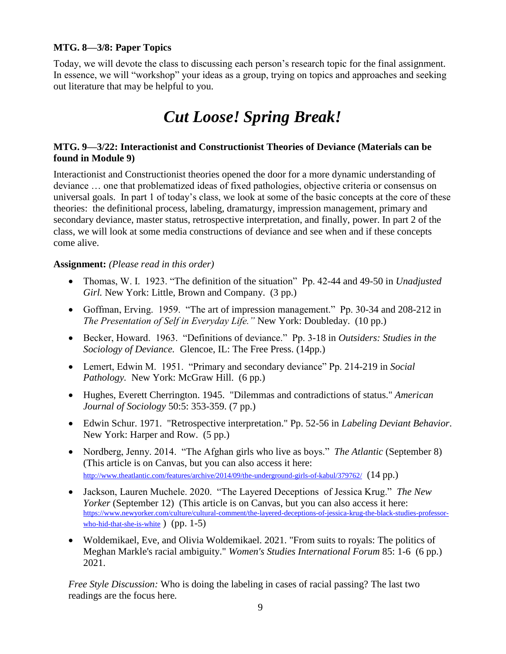#### **MTG. 8—3/8: Paper Topics**

Today, we will devote the class to discussing each person's research topic for the final assignment. In essence, we will "workshop" your ideas as a group, trying on topics and approaches and seeking out literature that may be helpful to you.

# *Cut Loose! Spring Break!*

#### **MTG. 9—3/22: Interactionist and Constructionist Theories of Deviance (Materials can be found in Module 9)**

Interactionist and Constructionist theories opened the door for a more dynamic understanding of deviance … one that problematized ideas of fixed pathologies, objective criteria or consensus on universal goals. In part 1 of today's class, we look at some of the basic concepts at the core of these theories: the definitional process, labeling, dramaturgy, impression management, primary and secondary deviance, master status, retrospective interpretation, and finally, power. In part 2 of the class, we will look at some media constructions of deviance and see when and if these concepts come alive.

#### **Assignment:** *(Please read in this order)*

- Thomas, W. I. 1923. "The definition of the situation" Pp. 42-44 and 49-50 in *Unadjusted Girl.* New York: Little, Brown and Company. (3 pp.)
- Goffman, Erving. 1959. "The art of impression management." Pp. 30-34 and 208-212 in *The Presentation of Self in Everyday Life."* New York: Doubleday. (10 pp.)
- Becker, Howard. 1963. "Definitions of deviance." Pp. 3-18 in *Outsiders: Studies in the Sociology of Deviance.* Glencoe, IL: The Free Press. (14pp.)
- Lemert, Edwin M. 1951. "Primary and secondary deviance" Pp. 214-219 in *Social Pathology.* New York: McGraw Hill. (6 pp.)
- Hughes, Everett Cherrington. 1945. "Dilemmas and contradictions of status." *American Journal of Sociology* 50:5: 353-359. (7 pp.)
- Edwin Schur. 1971. "Retrospective interpretation." Pp. 52-56 in *Labeling Deviant Behavior*. New York: Harper and Row. (5 pp.)
- Nordberg, Jenny. 2014. "The Afghan girls who live as boys." *The Atlantic* (September 8) (This article is on Canvas, but you can also access it here: <http://www.theatlantic.com/features/archive/2014/09/the-underground-girls-of-kabul/379762/> (14 pp.)
- Jackson, Lauren Muchele. 2020. "The Layered Deceptions of Jessica Krug." *The New Yorker* (September 12) (This article is on Canvas, but you can also access it here: [https://www.newyorker.com/culture/cultural-comment/the-layered-deceptions-of-jessica-krug-the-black-studies-professor](https://www.newyorker.com/culture/cultural-comment/the-layered-deceptions-of-jessica-krug-the-black-studies-professor-who-hid-that-she-is-white)[who-hid-that-she-is-white](https://www.newyorker.com/culture/cultural-comment/the-layered-deceptions-of-jessica-krug-the-black-studies-professor-who-hid-that-she-is-white) ) (pp. 1-5)
- Woldemikael, Eve, and Olivia Woldemikael. 2021. "From suits to royals: The politics of Meghan Markle's racial ambiguity." *Women's Studies International Forum* 85: 1-6 (6 pp.) 2021.

*Free Style Discussion:* Who is doing the labeling in cases of racial passing? The last two readings are the focus here*.*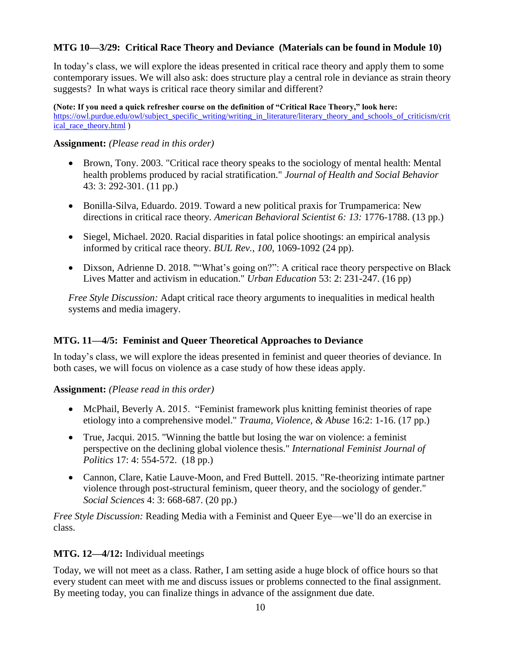#### **MTG 10—3/29: Critical Race Theory and Deviance (Materials can be found in Module 10)**

In today's class, we will explore the ideas presented in critical race theory and apply them to some contemporary issues. We will also ask: does structure play a central role in deviance as strain theory suggests? In what ways is critical race theory similar and different?

**(Note: If you need a quick refresher course on the definition of "Critical Race Theory," look here:**  [https://owl.purdue.edu/owl/subject\\_specific\\_writing/writing\\_in\\_literature/literary\\_theory\\_and\\_schools\\_of\\_criticism/crit](https://owl.purdue.edu/owl/subject_specific_writing/writing_in_literature/literary_theory_and_schools_of_criticism/critical_race_theory.html) [ical\\_race\\_theory.html](https://owl.purdue.edu/owl/subject_specific_writing/writing_in_literature/literary_theory_and_schools_of_criticism/critical_race_theory.html) )

#### **Assignment:** *(Please read in this order)*

- Brown, Tony. 2003. "Critical race theory speaks to the sociology of mental health: Mental health problems produced by racial stratification." *Journal of Health and Social Behavior* 43: 3: 292-301. (11 pp.)
- Bonilla-Silva, Eduardo. 2019. Toward a new political praxis for Trumpamerica: New directions in critical race theory. *American Behavioral Scientist 6: 13:* 1776-1788. (13 pp.)
- Siegel, Michael. 2020. Racial disparities in fatal police shootings: an empirical analysis informed by critical race theory. *BUL Rev.*, *100*, 1069-1092 (24 pp).
- Dixson, Adrienne D. 2018. ""What's going on?": A critical race theory perspective on Black Lives Matter and activism in education." *Urban Education* 53: 2: 231-247. (16 pp)

*Free Style Discussion:* Adapt critical race theory arguments to inequalities in medical health systems and media imagery.

#### **MTG. 11—4/5: Feminist and Queer Theoretical Approaches to Deviance**

In today's class, we will explore the ideas presented in feminist and queer theories of deviance. In both cases, we will focus on violence as a case study of how these ideas apply.

**Assignment:** *(Please read in this order)*

- McPhail, Beverly A. 2015. "Feminist framework plus knitting feminist theories of rape etiology into a comprehensive model." *Trauma, Violence, & Abuse* 16:2: 1-16. (17 pp.)
- True, Jacqui. 2015. "Winning the battle but losing the war on violence: a feminist perspective on the declining global violence thesis." *International Feminist Journal of Politics* 17: 4: 554-572. (18 pp.)
- Cannon, Clare, Katie Lauve-Moon, and Fred Buttell. 2015. "Re-theorizing intimate partner violence through post-structural feminism, queer theory, and the sociology of gender." *Social Sciences* 4: 3: 668-687. (20 pp.)

*Free Style Discussion:* Reading Media with a Feminist and Queer Eye—we'll do an exercise in class.

#### **MTG. 12—4/12:** Individual meetings

Today, we will not meet as a class. Rather, I am setting aside a huge block of office hours so that every student can meet with me and discuss issues or problems connected to the final assignment. By meeting today, you can finalize things in advance of the assignment due date.